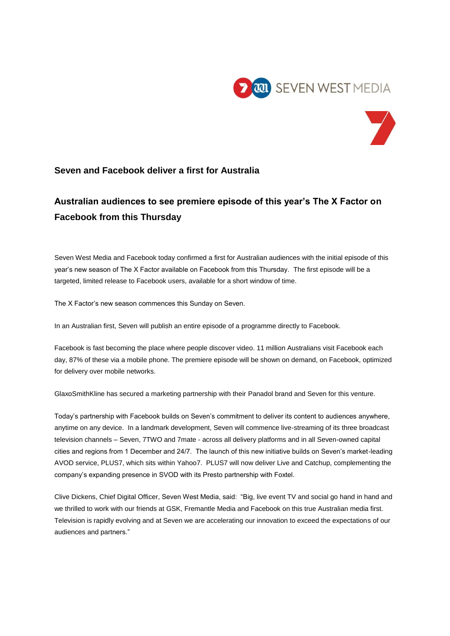



## **Seven and Facebook deliver a first for Australia**

## **Australian audiences to see premiere episode of this year's The X Factor on Facebook from this Thursday**

Seven West Media and Facebook today confirmed a first for Australian audiences with the initial episode of this year's new season of The X Factor available on Facebook from this Thursday. The first episode will be a targeted, limited release to Facebook users, available for a short window of time.

The X Factor's new season commences this Sunday on Seven.

In an Australian first, Seven will publish an entire episode of a programme directly to Facebook.

Facebook is fast becoming the place where people discover video. 11 million Australians visit Facebook each day, 87% of these via a mobile phone. The premiere episode will be shown on demand, on Facebook, optimized for delivery over mobile networks.

GlaxoSmithKline has secured a marketing partnership with their Panadol brand and Seven for this venture.

Today's partnership with Facebook builds on Seven's commitment to deliver its content to audiences anywhere, anytime on any device. In a landmark development, Seven will commence live-streaming of its three broadcast television channels – Seven, 7TWO and 7mate - across all delivery platforms and in all Seven-owned capital cities and regions from 1 December and 24/7. The launch of this new initiative builds on Seven's market-leading AVOD service, PLUS7, which sits within Yahoo7. PLUS7 will now deliver Live and Catchup, complementing the company's expanding presence in SVOD with its Presto partnership with Foxtel.

Clive Dickens, Chief Digital Officer, Seven West Media, said: "Big, live event TV and social go hand in hand and we thrilled to work with our friends at GSK, Fremantle Media and Facebook on this true Australian media first. Television is rapidly evolving and at Seven we are accelerating our innovation to exceed the expectations of our audiences and partners."